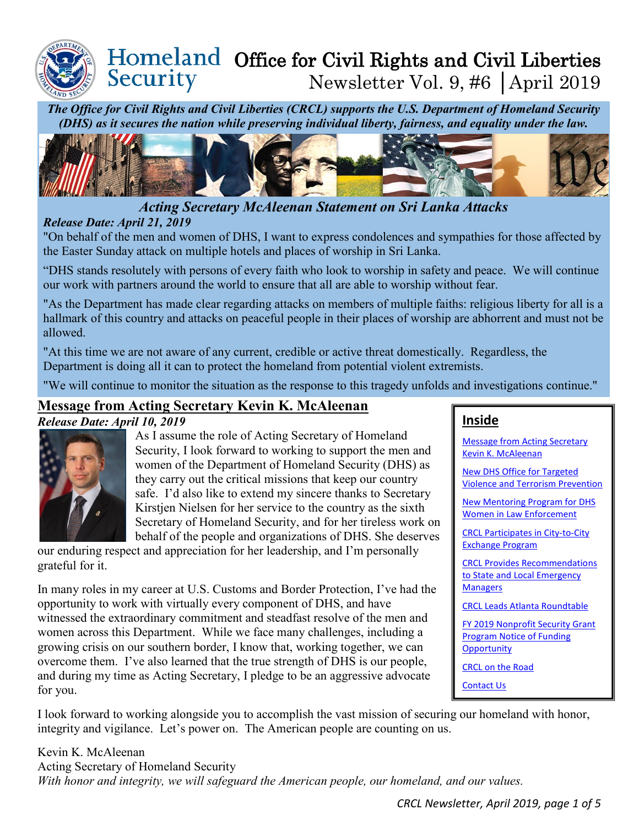

## Homeland Office for Civil Rights and Civil Liberties Security Newsletter Vol. 9, #6 │April 2019

*The Office for Civil Rights and Civil Liberties (CRCL) supports the U.S. Department of Homeland Security (DHS) as it secures the nation while preserving individual liberty, fairness, and equality under the law.*



# *Acting Secretary McAleenan Statement on Sri Lanka Attacks*

#### <span id="page-0-0"></span>*Release Date: April 21, 2019*

"On behalf of the men and women of DHS, I want to express condolences and sympathies for those affected by the Easter Sunday attack on multiple hotels and places of worship in Sri Lanka.

"DHS stands resolutely with persons of every faith who look to worship in safety and peace. We will continue our work with partners around the world to ensure that all are able to worship without fear.

"As the Department has made clear regarding attacks on members of multiple faiths: religious liberty for all is a hallmark of this country and attacks on peaceful people in their places of worship are abhorrent and must not be allowed.

"At this time we are not aware of any current, credible or active threat domestically. Regardless, the Department is doing all it can to protect the homeland from potential violent extremists.

"We will continue to monitor the situation as the response to this tragedy unfolds and investigations continue."

## **Message from Acting Secretary Kevin K. McAleenan**

#### *Release Date: April 10, 2019*



As I assume the role of Acting Secretary of Homeland Security, I look forward to working to support the men and women of the Department of Homeland Security (DHS) as they carry out the critical missions that keep our country safe. I'd also like to extend my sincere thanks to Secretary Kirstjen Nielsen for her service to the country as the sixth Secretary of Homeland Security, and for her tireless work on behalf of the people and organizations of DHS. She deserves

our enduring respect and appreciation for her leadership, and I'm personally grateful for it.

In many roles in my career at U.S. Customs and Border Protection, I've had the opportunity to work with virtually every component of DHS, and have witnessed the extraordinary commitment and steadfast resolve of the men and women across this Department. While we face many challenges, including a growing crisis on our southern border, I know that, working together, we can overcome them. I've also learned that the true strength of DHS is our people, and during my time as Acting Secretary, I pledge to be an aggressive advocate for you.

## **Inside**

[Message from Acting Secretary](#page-0-0)  [Kevin K. McAleenan](#page-0-0)

[New DHS Office for Targeted](#page-0-1)  [Violence and Terrorism Prevention](#page-0-1)

New [Mentoring Program for DHS](#page-1-0)  [Women in Law Enforcement](#page-1-0)

CRCL [Participates in City-to-City](#page-1-1)  [Exchange Program](#page-1-1)

[CRCL Provides Recommendations](#page-2-0)  [to State and Local Emergency](#page-2-0)  **[Managers](#page-2-0)** 

[CRCL Leads Atlanta Roundtable](#page-2-1)

[FY 2019 Nonprofit Security Grant](#page-3-0)  [Program Notice of Funding](#page-3-0)  **[Opportunity](#page-3-0)** 

[CRCL on the Road](#page-4-0)

<span id="page-0-1"></span>[Contact Us](#page-4-1)

I look forward to working alongside you to accomplish the vast mission of securing our homeland with honor, integrity and vigilance. Let's power on. The American people are counting on us.

Kevin K. McAleenan Acting Secretary of Homeland Security *With honor and integrity, we will safeguard the American people, our homeland, and our values.*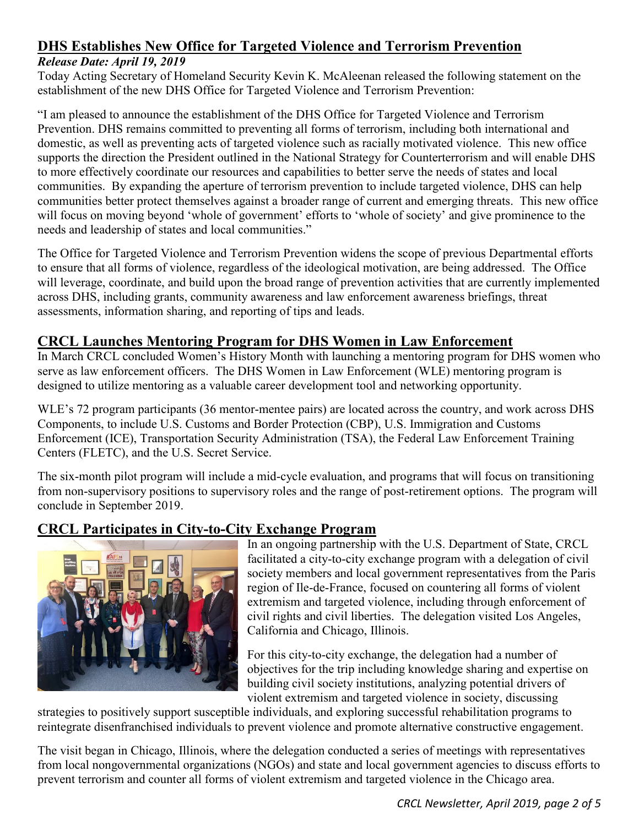# **DHS Establishes New Office for Targeted Violence and Terrorism Prevention**

#### *Release Date: April 19, 2019*

Today Acting Secretary of Homeland Security Kevin K. McAleenan released the following statement on the establishment of the new DHS Office for Targeted Violence and Terrorism Prevention:

"I am pleased to announce the establishment of the DHS Office for Targeted Violence and Terrorism Prevention. DHS remains committed to preventing all forms of terrorism, including both international and domestic, as well as preventing acts of targeted violence such as racially motivated violence. This new office supports the direction the President outlined in the National Strategy for Counterterrorism and will enable DHS to more effectively coordinate our resources and capabilities to better serve the needs of states and local communities. By expanding the aperture of terrorism prevention to include targeted violence, DHS can help communities better protect themselves against a broader range of current and emerging threats. This new office will focus on moving beyond 'whole of government' efforts to 'whole of society' and give prominence to the needs and leadership of states and local communities."

The Office for Targeted Violence and Terrorism Prevention widens the scope of previous Departmental efforts to ensure that all forms of violence, regardless of the ideological motivation, are being addressed. The Office will leverage, coordinate, and build upon the broad range of prevention activities that are currently implemented across DHS, including grants, community awareness and law enforcement awareness briefings, threat assessments, information sharing, and reporting of tips and leads.

## <span id="page-1-0"></span>**CRCL Launches Mentoring Program for DHS Women in Law Enforcement**

In March CRCL concluded Women's History Month with launching a mentoring program for DHS women who serve as law enforcement officers. The DHS Women in Law Enforcement (WLE) mentoring program is designed to utilize mentoring as a valuable career development tool and networking opportunity.

WLE's 72 program participants (36 mentor-mentee pairs) are located across the country, and work across DHS Components, to include U.S. Customs and Border Protection (CBP), U.S. Immigration and Customs Enforcement (ICE), Transportation Security Administration (TSA), the Federal Law Enforcement Training Centers (FLETC), and the U.S. Secret Service.

The six-month pilot program will include a mid-cycle evaluation, and programs that will focus on transitioning from non-supervisory positions to supervisory roles and the range of post-retirement options. The program will conclude in September 2019.

## **CRCL Participates in City-to-City Exchange Program**



<span id="page-1-1"></span>In an ongoing partnership with the U.S. Department of State, CRCL facilitated a city-to-city exchange program with a delegation of civil society members and local government representatives from the Paris region of Ile-de-France, focused on countering all forms of violent extremism and targeted violence, including through enforcement of civil rights and civil liberties. The delegation visited Los Angeles, California and Chicago, Illinois.

For this city-to-city exchange, the delegation had a number of objectives for the trip including knowledge sharing and expertise on building civil society institutions, analyzing potential drivers of violent extremism and targeted violence in society, discussing

strategies to positively support susceptible individuals, and exploring successful rehabilitation programs to reintegrate disenfranchised individuals to prevent violence and promote alternative constructive engagement.

The visit began in Chicago, Illinois, where the delegation conducted a series of meetings with representatives from local nongovernmental organizations (NGOs) and state and local government agencies to discuss efforts to prevent terrorism and counter all forms of violent extremism and targeted violence in the Chicago area.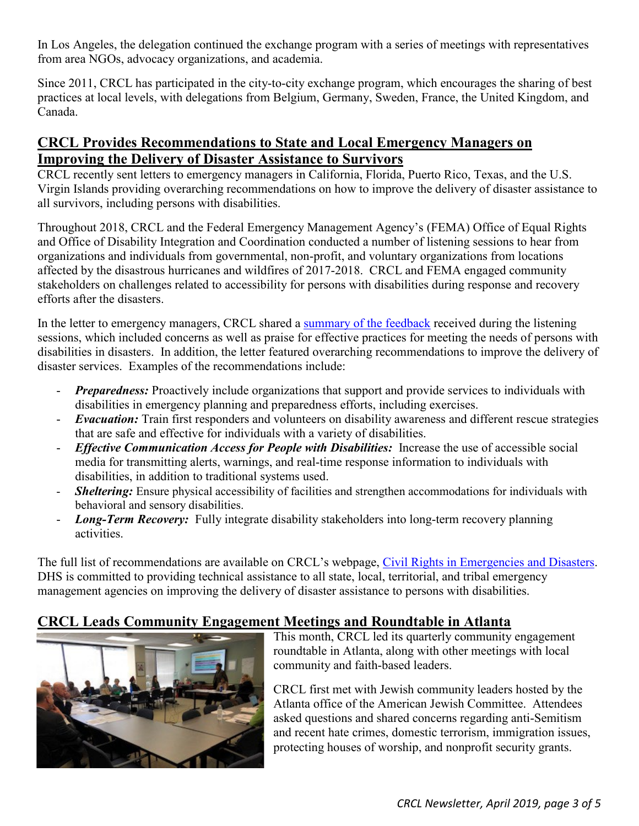In Los Angeles, the delegation continued the exchange program with a series of meetings with representatives from area NGOs, advocacy organizations, and academia.

Since 2011, CRCL has participated in the city-to-city exchange program, which encourages the sharing of best practices at local levels, with delegations from Belgium, Germany, Sweden, France, the United Kingdom, and Canada.

## <span id="page-2-0"></span>**CRCL Provides Recommendations to State and Local Emergency Managers on Improving the Delivery of Disaster Assistance to Survivors**

CRCL recently sent letters to emergency managers in California, Florida, Puerto Rico, Texas, and the U.S. Virgin Islands providing overarching recommendations on how to improve the delivery of disaster assistance to all survivors, including persons with disabilities.

Throughout 2018, CRCL and the Federal Emergency Management Agency's (FEMA) Office of Equal Rights and Office of Disability Integration and Coordination conducted a number of listening sessions to hear from organizations and individuals from governmental, non-profit, and voluntary organizations from locations affected by the disastrous hurricanes and wildfires of 2017-2018. CRCL and FEMA engaged community stakeholders on challenges related to accessibility for persons with disabilities during response and recovery efforts after the disasters.

In the letter to emergency managers, CRCL shared a [summary of the feedback](https://www.dhs.gov/civil-rights-emergencies-and-disasters) received during the listening sessions, which included concerns as well as praise for effective practices for meeting the needs of persons with disabilities in disasters. In addition, the letter featured overarching recommendations to improve the delivery of disaster services. Examples of the recommendations include:

- **Preparedness:** Proactively include organizations that support and provide services to individuals with disabilities in emergency planning and preparedness efforts, including exercises.
- *Evacuation:* Train first responders and volunteers on disability awareness and different rescue strategies that are safe and effective for individuals with a variety of disabilities.
- *Effective Communication Access for People with Disabilities:* Increase the use of accessible social media for transmitting alerts, warnings, and real-time response information to individuals with disabilities, in addition to traditional systems used.
- *Sheltering:* Ensure physical accessibility of facilities and strengthen accommodations for individuals with behavioral and sensory disabilities.
- *Long-Term Recovery:* Fully integrate disability stakeholders into long-term recovery planning activities.

The full list of recommendations are available on CRCL's webpage, [Civil Rights in Emergencies and Disasters.](https://www.dhs.gov/civil-rights-emergencies-and-disasters) DHS is committed to providing technical assistance to all state, local, territorial, and tribal emergency management agencies on improving the delivery of disaster assistance to persons with disabilities.

# <span id="page-2-1"></span>**CRCL Leads Community Engagement Meetings and Roundtable in Atlanta**



This month, CRCL led its quarterly community engagement roundtable in Atlanta, along with other meetings with local community and faith-based leaders.

CRCL first met with Jewish community leaders hosted by the Atlanta office of the American Jewish Committee. Attendees asked questions and shared concerns regarding anti-Semitism and recent hate crimes, domestic terrorism, immigration issues, protecting houses of worship, and nonprofit security grants.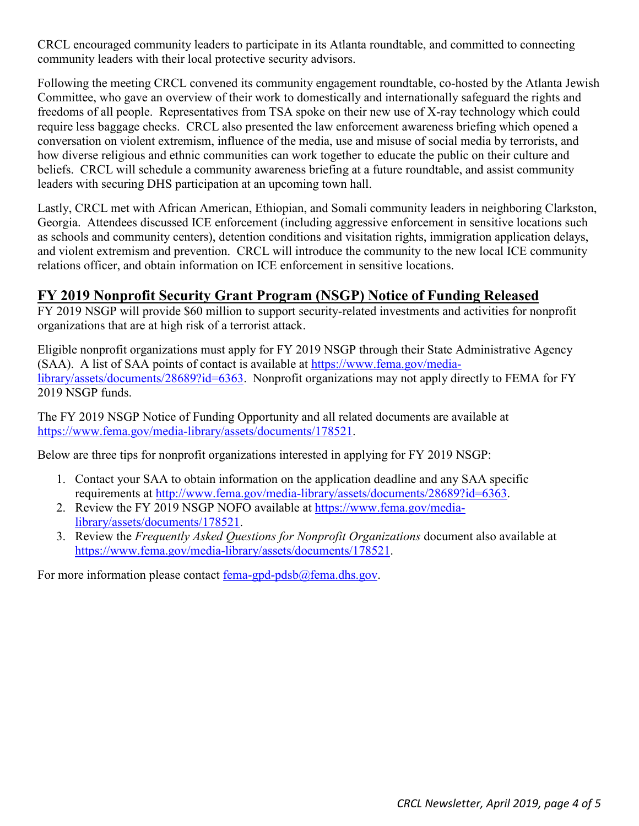CRCL encouraged community leaders to participate in its Atlanta roundtable, and committed to connecting community leaders with their local protective security advisors.

Following the meeting CRCL convened its community engagement roundtable, co-hosted by the Atlanta Jewish Committee, who gave an overview of their work to domestically and internationally safeguard the rights and freedoms of all people. Representatives from TSA spoke on their new use of X-ray technology which could require less baggage checks. CRCL also presented the law enforcement awareness briefing which opened a conversation on violent extremism, influence of the media, use and misuse of social media by terrorists, and how diverse religious and ethnic communities can work together to educate the public on their culture and beliefs. CRCL will schedule a community awareness briefing at a future roundtable, and assist community leaders with securing DHS participation at an upcoming town hall.

Lastly, CRCL met with African American, Ethiopian, and Somali community leaders in neighboring Clarkston, Georgia. Attendees discussed ICE enforcement (including aggressive enforcement in sensitive locations such as schools and community centers), detention conditions and visitation rights, immigration application delays, and violent extremism and prevention. CRCL will introduce the community to the new local ICE community relations officer, and obtain information on ICE enforcement in sensitive locations.

### <span id="page-3-0"></span>**FY 2019 Nonprofit Security Grant Program (NSGP) Notice of Funding Released**

FY 2019 NSGP will provide \$60 million to support security-related investments and activities for nonprofit organizations that are at high risk of a terrorist attack.

Eligible nonprofit organizations must apply for FY 2019 NSGP through their State Administrative Agency (SAA). A list of SAA points of contact is available at [https://www.fema.gov/media](https://www.fema.gov/media-library/assets/documents/28689?id=6363)[library/assets/documents/28689?id=6363.](https://www.fema.gov/media-library/assets/documents/28689?id=6363) Nonprofit organizations may not apply directly to FEMA for FY 2019 NSGP funds.

The FY 2019 NSGP Notice of Funding Opportunity and all related documents are available at [https://www.fema.gov/media-library/assets/documents/178521.](https://www.fema.gov/media-library/assets/documents/178521)

Below are three tips for nonprofit organizations interested in applying for FY 2019 NSGP:

- 1. Contact your SAA to obtain information on the application deadline and any SAA specific requirements at [http://www.fema.gov/media-library/assets/documents/28689?id=6363.](http://www.fema.gov/media-library/assets/documents/28689?id=6363)
- 2. Review the FY 2019 NSGP NOFO available at [https://www.fema.gov/media](https://www.fema.gov/media-library/assets/documents/178521)[library/assets/documents/178521.](https://www.fema.gov/media-library/assets/documents/178521)
- 3. Review the *Frequently Asked Questions for Nonprofit Organizations* document also available at [https://www.fema.gov/media-library/assets/documents/178521.](https://www.fema.gov/media-library/assets/documents/178521)

For more information please contact fema-gpd-pdsb $@$ fema.dhs.gov.